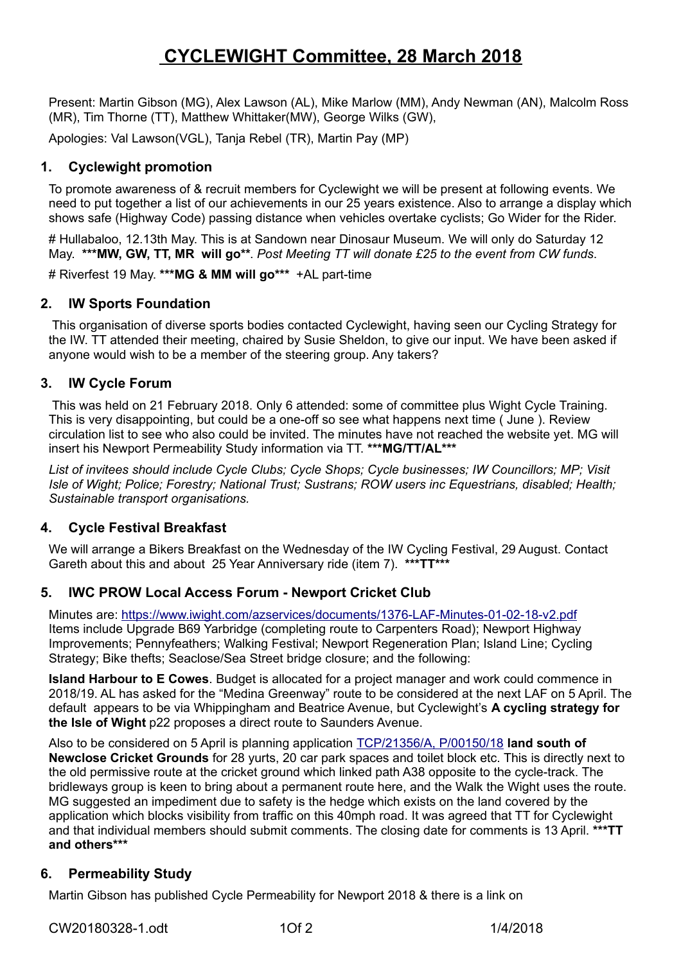# **CYCLEWIGHT Committee, 28 March 2018**

Present: Martin Gibson (MG), Alex Lawson (AL), Mike Marlow (MM), Andy Newman (AN), Malcolm Ross (MR), Tim Thorne (TT), Matthew Whittaker(MW), George Wilks (GW),

Apologies: Val Lawson(VGL), Tanja Rebel (TR), Martin Pay (MP)

## **1. Cyclewight promotion**

To promote awareness of & recruit members for Cyclewight we will be present at following events. We need to put together a list of our achievements in our 25 years existence. Also to arrange a display which shows safe (Highway Code) passing distance when vehicles overtake cyclists; Go Wider for the Rider.

# Hullabaloo, 12.13th May. This is at Sandown near Dinosaur Museum. We will only do Saturday 12 May. **\*\*\*MW, GW, TT, MR will go\*\***. *Post Meeting TT will donate £25 to the event from CW funds*.

# Riverfest 19 May. **\*\*\*MG & MM will go\*\*\*** +AL part-time

#### **2. IW Sports Foundation**

 This organisation of diverse sports bodies contacted Cyclewight, having seen our Cycling Strategy for the IW. TT attended their meeting, chaired by Susie Sheldon, to give our input. We have been asked if anyone would wish to be a member of the steering group. Any takers?

## **3. IW Cycle Forum**

 This was held on 21 February 2018. Only 6 attended: some of committee plus Wight Cycle Training. This is very disappointing, but could be a one-off so see what happens next time ( June ). Review circulation list to see who also could be invited. The minutes have not reached the website yet. MG will insert his Newport Permeability Study information via TT. **\*\*\*MG/TT/AL\*\*\***

*List of invitees should include Cycle Clubs; Cycle Shops; Cycle businesses; IW Councillors; MP; Visit Isle of Wight; Police; Forestry; National Trust; Sustrans; ROW users inc Equestrians, disabled; Health; Sustainable transport organisations.* 

# **4. Cycle Festival Breakfast**

We will arrange a Bikers Breakfast on the Wednesday of the IW Cycling Festival, 29 August. Contact Gareth about this and about 25 Year Anniversary ride (item 7). **\*\*\*TT\*\*\***

# **5. IWC PROW Local Access Forum - Newport Cricket Club**

Minutes are:<https://www.iwight.com/azservices/documents/1376-LAF-Minutes-01-02-18-v2.pdf> Items include Upgrade B69 Yarbridge (completing route to Carpenters Road); Newport Highway Improvements; Pennyfeathers; Walking Festival; Newport Regeneration Plan; Island Line; Cycling Strategy; Bike thefts; Seaclose/Sea Street bridge closure; and the following:

**Island Harbour to E Cowes**. Budget is allocated for a project manager and work could commence in 2018/19. AL has asked for the "Medina Greenway" route to be considered at the next LAF on 5 April. The default appears to be via Whippingham and Beatrice Avenue, but Cyclewight's **A cycling strategy for the Isle of Wight** p22 proposes a direct route to Saunders Avenue.

Also to be considered on 5 April is planning application [TCP/21356/A, P/00150/18](https://www.iwight.com/planning/AppDetails3.aspx?frmId=34021) **land south of Newclose Cricket Grounds** for 28 yurts, 20 car park spaces and toilet block etc. This is directly next to the old permissive route at the cricket ground which linked path A38 opposite to the cycle-track. The bridleways group is keen to bring about a permanent route here, and the Walk the Wight uses the route. MG suggested an impediment due to safety is the hedge which exists on the land covered by the application which blocks visibility from traffic on this 40mph road. It was agreed that TT for Cyclewight and that individual members should submit comments. The closing date for comments is 13 April. **\*\*\*TT and others\*\*\*** 

#### **6. Permeability Study**

Martin Gibson has published Cycle Permeability for Newport 2018 & there is a link on

CW20180328-1.odt 1Of 2 1/4/2018